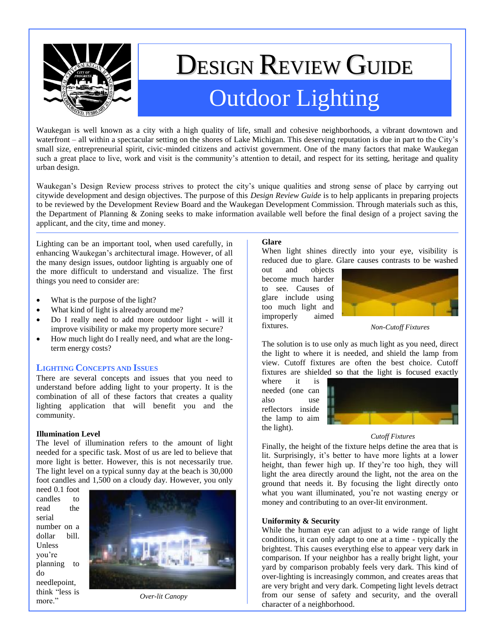

# DESIGN REVIEW GUIDE Outdoor Lighting

Waukegan is well known as a city with a high quality of life, small and cohesive neighborhoods, a vibrant downtown and waterfront – all within a spectacular setting on the shores of Lake Michigan. This deserving reputation is due in part to the City's small size, entrepreneurial spirit, civic-minded citizens and activist government. One of the many factors that make Waukegan such a great place to live, work and visit is the community's attention to detail, and respect for its setting, heritage and quality urban design.

Waukegan's Design Review process strives to protect the city's unique qualities and strong sense of place by carrying out citywide development and design objectives. The purpose of this *Design Review Guide* is to help applicants in preparing projects to be reviewed by the Development Review Board and the Waukegan Development Commission. Through materials such as this, the Department of Planning & Zoning seeks to make information available well before the final design of a project saving the applicant, and the city, time and money.

Lighting can be an important tool, when used carefully, in enhancing Waukegan's architectural image. However, of all the many design issues, outdoor lighting is arguably one of the more difficult to understand and visualize. The first things you need to consider are:

- What is the purpose of the light?
- What kind of light is already around me?
- Do I really need to add more outdoor light will it improve visibility or make my property more secure?
- How much light do I really need, and what are the longterm energy costs?

#### **LIGHTING CONCEPTS AND ISSUES**

There are several concepts and issues that you need to understand before adding light to your property. It is the combination of all of these factors that creates a quality lighting application that will benefit you and the community.

#### **Illumination Level**

The level of illumination refers to the amount of light needed for a specific task. Most of us are led to believe that more light is better. However, this is not necessarily true. The light level on a typical sunny day at the beach is 30,000 foot candles and 1,500 on a cloudy day. However, you only

need 0.1 foot candles to read the serial number on a dollar bill. **Unless** you're planning to do needlepoint, think "less is more."



*Over-lit Canopy*

## **Glare**

When light shines directly into your eye, visibility is reduced due to glare. Glare causes contrasts to be washed

out and objects become much harder to see. Causes of glare include using too much light and improperly aimed fixtures.



*Non-Cutoff Fixtures*

The solution is to use only as much light as you need, direct the light to where it is needed, and shield the lamp from view. Cutoff fixtures are often the best choice. Cutoff fixtures are shielded so that the light is focused exactly

where it is needed (one can also use reflectors inside the lamp to aim the light).



#### *Cutoff Fixtures*

Finally, the height of the fixture helps define the area that is lit. Surprisingly, it's better to have more lights at a lower height, than fewer high up. If they're too high, they will light the area directly around the light, not the area on the ground that needs it. By focusing the light directly onto what you want illuminated, you're not wasting energy or money and contributing to an over-lit environment.

# **Uniformity & Security**

While the human eye can adjust to a wide range of light conditions, it can only adapt to one at a time - typically the brightest. This causes everything else to appear very dark in comparison. If your neighbor has a really bright light, your yard by comparison probably feels very dark. This kind of over-lighting is increasingly common, and creates areas that are very bright and very dark. Competing light levels detract from our sense of safety and security, and the overall character of a neighborhood.